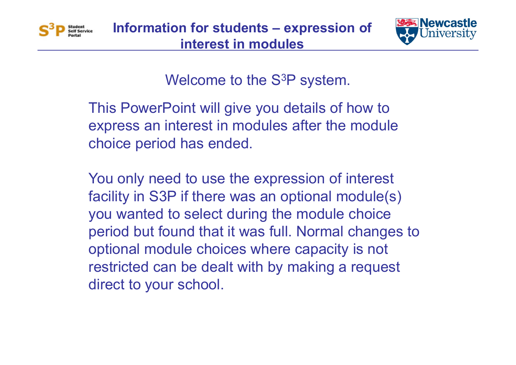



Welcome to the S 3P system.

This PowerPoint will give you details of how to express an interest in modules after the module choice period has ended.

You only need to use the expression of interest facility in S3P if there was an optional module(s) you wanted to select during the module choice period but found that it was full. Normal changes to optional module choices where capacity is not restricted can be dealt with by making a request direct to your school.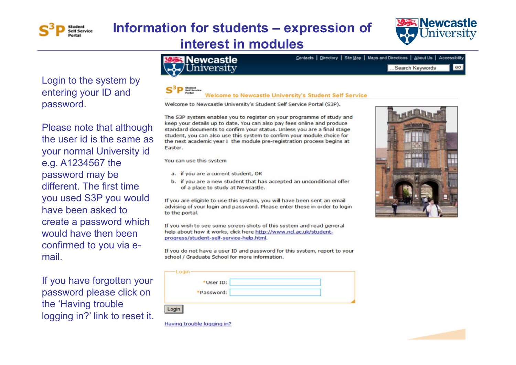



 $GO$ 

Contacts | Directory | Site Map | Maps and Directions | About Us | Accessibility

Login to the system by entering your ID and password.

Please note that although the user id is the same as your normal University id e.g. A1234567 the password may be different. The first time you used S3P you would have been asked to create a password which would have then been confirmed to you via email.

If you have forgotten your password please click on the 'Having trouble logging in?' link to reset it.

#### Newcastle iversitv

#### **Welcome to Newcastle University's Student Self Service**

Welcome to Newcastle University's Student Self Service Portal (S3P).

The S3P system enables you to register on your programme of study and keep your details up to date. You can also pay fees online and produce standard documents to confirm your status. Unless you are a final stage student, you can also use this system to confirm your module choice for the next academic year I the module pre-registration process begins at Easter.

You can use this system

- a. if you are a current student, OR
- b. if you are a new student that has accepted an unconditional offer of a place to study at Newcastle.

If you are eligible to use this system, you will have been sent an email advising of your login and password. Please enter these in order to login to the portal.

If you wish to see some screen shots of this system and read general help about how it works, click here http://www.nd.ac.uk/studentprogress/student-self-service-help.html.

If you do not have a user ID and password for this system, report to your school / Graduate School for more information.

|        | *User ID:  |  |  |
|--------|------------|--|--|
|        | *Password: |  |  |
| $-0.9$ |            |  |  |



...Search Keywords



Having trouble logging in?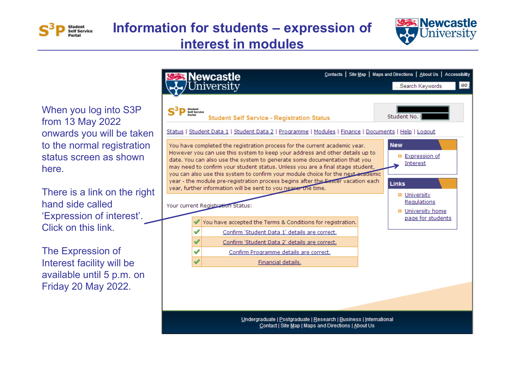



When you log into S3P from 13 May 2022 onwards you will be taken to the normal registration status screen as shown here.

There is a link on the right hand side called 'Expression of interest'. Click on this link.

The Expression of Interest facility will be available until 5 p.m. on Friday 20 May 2022.

|                                                                                                                           | <b>Newcastle</b>                                                                                                                                                                                                                                                                                                                                                                                                                                                                                                                                                                                         | Contacts   Site Map   Maps and Directions   About Us   Accessibility                                                                  |  |  |  |
|---------------------------------------------------------------------------------------------------------------------------|----------------------------------------------------------------------------------------------------------------------------------------------------------------------------------------------------------------------------------------------------------------------------------------------------------------------------------------------------------------------------------------------------------------------------------------------------------------------------------------------------------------------------------------------------------------------------------------------------------|---------------------------------------------------------------------------------------------------------------------------------------|--|--|--|
|                                                                                                                           | niversity                                                                                                                                                                                                                                                                                                                                                                                                                                                                                                                                                                                                | GO<br>Search Keywords                                                                                                                 |  |  |  |
| Student<br>elf Service                                                                                                    | <b>Student Self Service - Registration Status</b><br>Status   Student Data 1   Student Data 2   Programme   Modules   Finance   Documents   Help   Logout                                                                                                                                                                                                                                                                                                                                                                                                                                                | Student No.                                                                                                                           |  |  |  |
|                                                                                                                           | You have completed the registration process for the current academic year.<br>However you can use this system to keep your address and other details up to<br>date. You can also use the system to generate some documentation that you<br>may need to confirm your student status. Unless you are a final stage student,<br>you can also use this system to confirm your module choice for the next academic<br>year - the module pre-registration process begins after the Easter vacation each<br>year, further information will be sent to you nearer the time.<br>Your current Registration Status: | <b>New</b><br><b>Expression of</b><br>о<br>Interest<br><b>Links</b><br><b>D</b> University<br>Regulations<br><b>D</b> University home |  |  |  |
|                                                                                                                           | You have accepted the Terms & Conditions for registration.                                                                                                                                                                                                                                                                                                                                                                                                                                                                                                                                               | page for students                                                                                                                     |  |  |  |
|                                                                                                                           | Confirm 'Student Data 1' details are correct.                                                                                                                                                                                                                                                                                                                                                                                                                                                                                                                                                            |                                                                                                                                       |  |  |  |
| ✔                                                                                                                         | Confirm 'Student Data 2' details are correct.                                                                                                                                                                                                                                                                                                                                                                                                                                                                                                                                                            |                                                                                                                                       |  |  |  |
| ✔                                                                                                                         | Confirm Programme details are correct.                                                                                                                                                                                                                                                                                                                                                                                                                                                                                                                                                                   |                                                                                                                                       |  |  |  |
| $\checkmark$                                                                                                              | Financial details.                                                                                                                                                                                                                                                                                                                                                                                                                                                                                                                                                                                       |                                                                                                                                       |  |  |  |
|                                                                                                                           |                                                                                                                                                                                                                                                                                                                                                                                                                                                                                                                                                                                                          |                                                                                                                                       |  |  |  |
| Undergraduate   Postgraduate   Research   Business   International<br>Contact   Site Map   Maps and Directions   About Us |                                                                                                                                                                                                                                                                                                                                                                                                                                                                                                                                                                                                          |                                                                                                                                       |  |  |  |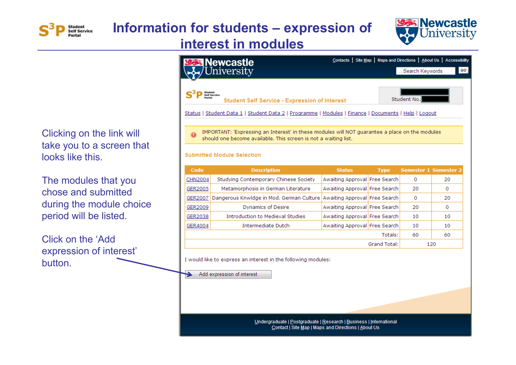



120

#### Clicking on the link will take you to a screen that looks like this.

The modules that you chose and submitted during the module choice period will be listed.

Click on the 'Add expression of interest' button.

#### Contacts | Site Map | Maps and Directions | About Us | Accessibility **Newcastle** Jniversity .Search Keywords GO  $S^3$   $P$  Student<br>P Self Service Student No. **Student Self Service - Expression of Interest** Status | Student Data 1 | Student Data 2 | Programme | Modules | Finance | Documents | Help | Logout IMPORTANT: 'Expressing an Interest' in these modules will NOT quarantee a place on the modules should one become available. This screen is not a waiting list. **Submitted Module Selection** Code **Description Status Type Semester 1 Semester 2 CHN2004** Studying Contemporary Chinese Society Awaiting Approval Free Search  $\overline{0}$ 20 GER2005 Awaiting Approval Free Search 20  $\overline{0}$ Metamorphosis in German Literature GER2007 Dangerous Knwldge in Mod. German Culture Awaiting Approval Free Search  $\mathbf{0}$ 20 GER2009 **Dynamics of Desire** Awaiting Approval Free Search  $\Omega$ 20 **Introduction to Medieval Studies** Awaiting Approval Free Search GER2038 10 10 Intermediate Dutch GER4004 Awaiting Approval Free Search 10  $10$ Totals: 60 60

I would like to express an interest in the following modules:

Add expression of interest

Undergraduate | Postgraduate | Research | Business | International Contact | Site Map | Maps and Directions | About Us

**Grand Total:**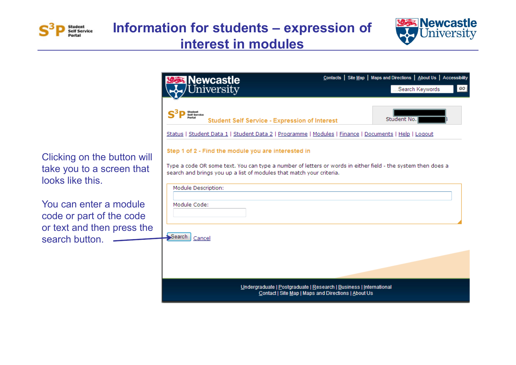



| <b>Newcastle</b>                                                                                                            |                                                                                                                           | Contacts   Site Map   Maps and Directions   About Us   Accessibility |
|-----------------------------------------------------------------------------------------------------------------------------|---------------------------------------------------------------------------------------------------------------------------|----------------------------------------------------------------------|
| University                                                                                                                  |                                                                                                                           | GO<br>Search Keywords                                                |
| Student<br>Self Service                                                                                                     | <b>Student Self Service - Expression of Interest</b>                                                                      | Student No.                                                          |
|                                                                                                                             | Status   Student Data 1   Student Data 2   Programme   Modules   Finance   Documents   Help   Logout                      |                                                                      |
| Step 1 of 2 - Find the module you are interested in<br>search and brings you up a list of modules that match your criteria. | Type a code OR some text. You can type a number of letters or words in either field - the system then does a              |                                                                      |
| Module Description:<br>Module Code:                                                                                         |                                                                                                                           |                                                                      |
| Search<br>Cancel                                                                                                            |                                                                                                                           |                                                                      |
|                                                                                                                             | Undergraduate   Postgraduate   Research   Business   International<br>Contact   Site Map   Maps and Directions   About Us |                                                                      |

Clicking on the button take you to a screen th looks like this.

You can enter a modul code or part of the cod or text and then press search button.  $\qquad$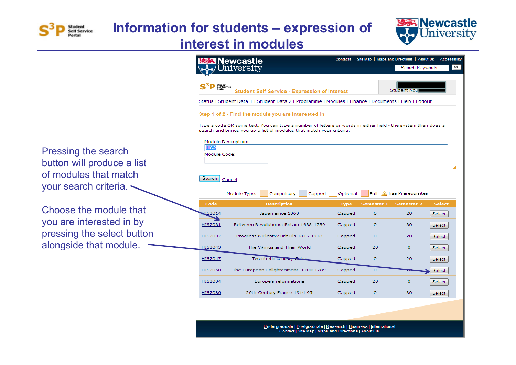



Pressing the search button will produce a list of modules that match your search criteria.

Choose the module that you are interested in by pressing the select button alongside that module.

|                                                                                                                                                                                      | ewcastle                                                                                             |             |                   | Search Keywords          | Contacts   Site Map   Maps and Directions   About Us   Accessibility<br>GO |  |  |
|--------------------------------------------------------------------------------------------------------------------------------------------------------------------------------------|------------------------------------------------------------------------------------------------------|-------------|-------------------|--------------------------|----------------------------------------------------------------------------|--|--|
|                                                                                                                                                                                      |                                                                                                      |             |                   |                          |                                                                            |  |  |
|                                                                                                                                                                                      | Student<br>Self Service<br><b>Student Self Service - Expression of Interest</b>                      |             |                   | Student No.              |                                                                            |  |  |
|                                                                                                                                                                                      | Status   Student Data 1   Student Data 2   Programme   Modules   Finance   Documents   Help   Logout |             |                   |                          |                                                                            |  |  |
| Step 1 of 2 - Find the module you are interested in                                                                                                                                  |                                                                                                      |             |                   |                          |                                                                            |  |  |
| Type a code OR some text. You can type a number of letters or words in either field - the system then does a<br>search and brings you up a list of modules that match your criteria. |                                                                                                      |             |                   |                          |                                                                            |  |  |
| <b>HIS2</b>                                                                                                                                                                          | Module Description:                                                                                  |             |                   |                          |                                                                            |  |  |
| Module Code:                                                                                                                                                                         |                                                                                                      |             |                   |                          |                                                                            |  |  |
| Search                                                                                                                                                                               | Cancel                                                                                               |             |                   |                          |                                                                            |  |  |
|                                                                                                                                                                                      | Module Type:<br>Compulsory<br>Capped                                                                 | Optional    |                   | Full A has Prerequisites |                                                                            |  |  |
| Code                                                                                                                                                                                 | <b>Description</b>                                                                                   | <b>Type</b> | <b>Semester 1</b> | <b>Semester 2</b>        | <b>Select</b>                                                              |  |  |
| UIS2014                                                                                                                                                                              | Japan since 1868                                                                                     | Capped      | $\Omega$          | 20                       | Select                                                                     |  |  |
| HIS2031                                                                                                                                                                              | Between Revolutions: Britain 1688-1789                                                               | Capped      | $\Omega$          | 30                       | Select                                                                     |  |  |
| HIS2037                                                                                                                                                                              | Progress & Plenty? Brit His 1815-1918                                                                | Capped      | 0                 | 20                       | Select                                                                     |  |  |
| HIS2043                                                                                                                                                                              | The Vikings and Their World                                                                          | Capped      | 20                | $\Omega$                 | Select                                                                     |  |  |
| HIS2047                                                                                                                                                                              | Twentieth-century Cuba                                                                               | Capped      | 0                 | 20                       | Select                                                                     |  |  |
| <b>HIS2050</b>                                                                                                                                                                       | The European Enlightenment, 1700-1789                                                                | Capped      | $\Omega$          |                          | Select                                                                     |  |  |
| HIS2084                                                                                                                                                                              | Europe's reformations                                                                                | Capped      | 20                | $\circ$                  | Select                                                                     |  |  |
| <b>HIS2086</b>                                                                                                                                                                       | 20th Century France 1914-95                                                                          | Capped      | $\circ$           | 30                       | Select                                                                     |  |  |
|                                                                                                                                                                                      |                                                                                                      |             |                   |                          |                                                                            |  |  |

Undergraduate | Postgraduate | Research | Business | International Contact | Site Map | Maps and Directions | About Us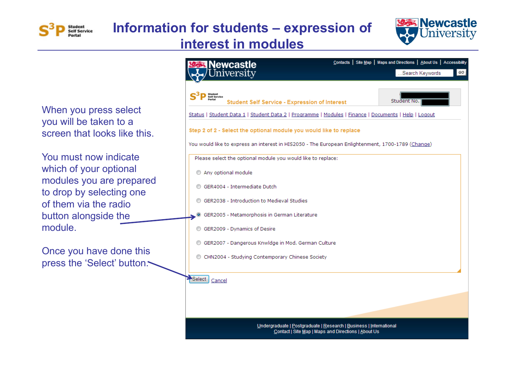



When you press select you will be taken to a screen that looks like this.

You must now indicate which of your optional modules you are prepared to drop by selecting one of them via the radio button alongside the module.

Once you have done this press the 'Select' button.

| lewcastle                                                                                                                                                                                         | Contacts   Site Map   Maps and Directions   About Us   Accessibility |
|---------------------------------------------------------------------------------------------------------------------------------------------------------------------------------------------------|----------------------------------------------------------------------|
| versity                                                                                                                                                                                           | GO<br>Search Keywords                                                |
| Student<br>Self Service<br>Portal<br><b>Student Self Service - Expression of Interest</b><br>Status   Student Data 1   Student Data 2   Programme   Modules   Finance   Documents   Help   Logout | Student No.                                                          |
| Step 2 of 2 - Select the optional module you would like to replace                                                                                                                                |                                                                      |
| You would like to express an interest in HIS2050 - The European Enlightenment, 1700-1789 (Change)                                                                                                 |                                                                      |
| Please select the optional module you would like to replace:                                                                                                                                      |                                                                      |
| Any optional module                                                                                                                                                                               |                                                                      |
| GER4004 - Intermediate Dutch                                                                                                                                                                      |                                                                      |
| GER2038 - Introduction to Medieval Studies                                                                                                                                                        |                                                                      |
| GER2005 - Metamorphosis in German Literature                                                                                                                                                      |                                                                      |
| GER2009 - Dynamics of Desire                                                                                                                                                                      |                                                                      |
| GER2007 - Dangerous Knwldge in Mod. German Culture                                                                                                                                                |                                                                      |
| CHN2004 - Studying Contemporary Chinese Society<br>⊙                                                                                                                                              |                                                                      |
| Select<br>Cancel                                                                                                                                                                                  |                                                                      |
|                                                                                                                                                                                                   |                                                                      |
| Undergraduate   Postgraduate   Research   Business   International<br>Contact   Site Map   Maps and Directions   About Us                                                                         |                                                                      |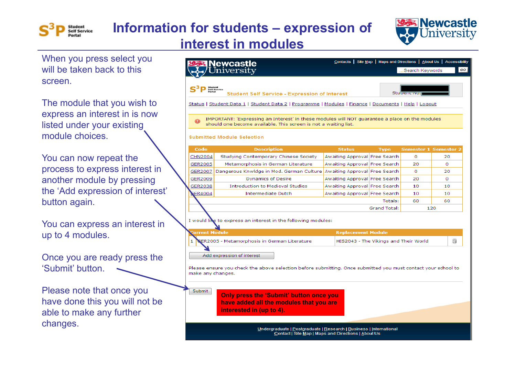

# **Information for students – expression of**



When you press select you will be taken back to this screen.

The module that you wish to express an interest in is now listed under your existing module choices.

You can now repeat the process to express interest in another module by pressing the 'Add expression of interest' button again.

You can express an interest in up to 4 modules.

Once you are ready press the 'Submit' button.

Please note that once you have done this you will not be able to make any further changes.

#### **interest in modules**

|                                                                                                                                                                  | should one become available. This screen is not a waiting list.<br><b>Submitted Module Selection</b> |                                       |                         |                              |           |
|------------------------------------------------------------------------------------------------------------------------------------------------------------------|------------------------------------------------------------------------------------------------------|---------------------------------------|-------------------------|------------------------------|-----------|
| Code                                                                                                                                                             | <b>Description</b>                                                                                   | <b>Status</b>                         | <b>Type</b>             | <b>Semester 1 Semester 2</b> |           |
| <b>CHN2004</b>                                                                                                                                                   | Studying Contemporary Chinese Society                                                                | Awaiting Approval Free Search         |                         | 0                            | 20        |
| GER2005                                                                                                                                                          | Metamorphosis in German Literature                                                                   | Awaiting Approval Free Search         |                         | 20                           | o         |
| GER2007                                                                                                                                                          | Dangerous Knwldge in Mod. German Culture                                                             | Awaiting Approval Free Search         |                         | 0                            | 20        |
| GER2009                                                                                                                                                          | Dynamics of Desire                                                                                   | Awaiting Approval Free Search         |                         | 20                           | 0         |
| GER2038                                                                                                                                                          | <b>Introduction to Medieval Studies</b>                                                              | Awaiting Approval Free Search         |                         | 10                           | 10        |
| GER4004                                                                                                                                                          | <b>Intermediate Dutch</b>                                                                            | Awaiting Approval Free Search         |                         | 10                           | 10        |
|                                                                                                                                                                  |                                                                                                      |                                       | Totals:<br>Grand Total: | 60                           | 60<br>120 |
| urrent Module                                                                                                                                                    | I would like to express an interest in the following modules:                                        | <b>Replacement Module</b>             |                         |                              |           |
| 1                                                                                                                                                                | ER2005 - Metamorphosis in German Literature                                                          | HIS2043 - The Vikings and Their World |                         |                              | ã         |
| Add expression of interest<br>Please ensure you check the above selection before submitting. Once submitted you must contact your school to<br>make any changes. |                                                                                                      |                                       |                         |                              |           |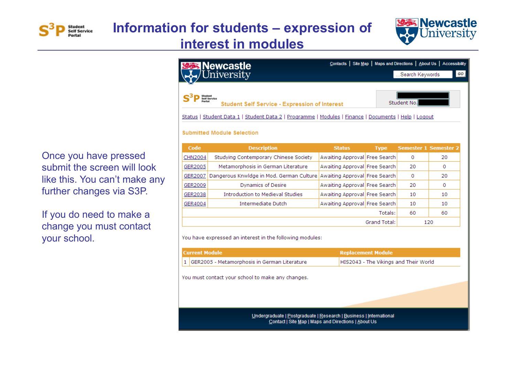



Once you have pressed submit the screen will look like this. You can't make any further changes via S3P.

If you do need to make a change you must contact your school.

| <b>Newcastle</b><br>Jniversity                                                                           |                                                                                                             |                               |             | Search Keywords              | Contacts   Site Map   Maps and Directions   About Us   Accessibility<br>GO |
|----------------------------------------------------------------------------------------------------------|-------------------------------------------------------------------------------------------------------------|-------------------------------|-------------|------------------------------|----------------------------------------------------------------------------|
|                                                                                                          |                                                                                                             |                               |             |                              |                                                                            |
| Student<br>Self Service<br>Portal<br>Student No.<br><b>Student Self Service - Expression of Interest</b> |                                                                                                             |                               |             |                              |                                                                            |
|                                                                                                          | <u>Status   Student Data 1   Student Data 2   Programme   Modules   Finance   Documents   Help   Logout</u> |                               |             |                              |                                                                            |
| <b>Submitted Module Selection</b>                                                                        |                                                                                                             |                               |             |                              |                                                                            |
| Code                                                                                                     | <b>Description</b>                                                                                          | <b>Status</b>                 | <b>Type</b> | <b>Semester 1 Semester 2</b> |                                                                            |
| CHN2004                                                                                                  | Studying Contemporary Chinese Society                                                                       | Awaiting Approval Free Search |             | $\Omega$                     | 20                                                                         |
| GER2005                                                                                                  | Metamorphosis in German Literature                                                                          | Awaiting Approval Free Search |             | 20                           | 0                                                                          |
| GER2007                                                                                                  | Dangerous Knwldge in Mod. German Culture                                                                    | Awaiting Approval Free Search |             | $\Omega$                     | 20                                                                         |
| GER2009                                                                                                  | <b>Dynamics of Desire</b>                                                                                   | Awaiting Approval Free Search |             | 20                           | 0                                                                          |
| GER2038                                                                                                  | <b>Introduction to Medieval Studies</b>                                                                     | Awaiting Approval Free Search |             | 10                           | 10                                                                         |
| GER4004                                                                                                  | Intermediate Dutch                                                                                          | Awaiting Approval Free Search |             | 10                           | 10                                                                         |
|                                                                                                          | Totals:                                                                                                     |                               |             |                              | 60                                                                         |
| Grand Total:                                                                                             |                                                                                                             |                               |             |                              | 120                                                                        |
| You have expressed an interest in the following modules:                                                 |                                                                                                             |                               |             |                              |                                                                            |

| <b>Current Module</b>                                                                                                     | <b>Replacement Module</b>             |  |  |  |
|---------------------------------------------------------------------------------------------------------------------------|---------------------------------------|--|--|--|
| GER2005 - Metamorphosis in German Literature                                                                              | HIS2043 - The Vikings and Their World |  |  |  |
| You must contact your school to make any changes.                                                                         |                                       |  |  |  |
| Undergraduate   Postgraduate   Research   Business   International<br>Contact   Site Map   Maps and Directions   About Us |                                       |  |  |  |